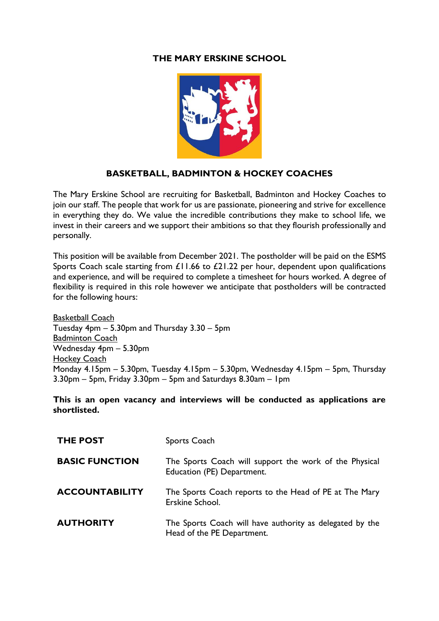# **THE MARY ERSKINE SCHOOL**



# **BASKETBALL, BADMINTON & HOCKEY COACHES**

The Mary Erskine School are recruiting for Basketball, Badminton and Hockey Coaches to join our staff. The people that work for us are passionate, pioneering and strive for excellence in everything they do. We value the incredible contributions they make to school life, we invest in their careers and we support their ambitions so that they flourish professionally and personally.

This position will be available from December 2021. The postholder will be paid on the ESMS Sports Coach scale starting from £11.66 to £21.22 per hour, dependent upon qualifications and experience, and will be required to complete a timesheet for hours worked. A degree of flexibility is required in this role however we anticipate that postholders will be contracted for the following hours:

Basketball Coach Tuesday 4pm – 5.30pm and Thursday 3.30 – 5pm Badminton Coach Wednesday 4pm – 5.30pm Hockey Coach Monday 4.15pm – 5.30pm, Tuesday 4.15pm – 5.30pm, Wednesday 4.15pm – 5pm, Thursday 3.30pm – 5pm, Friday 3.30pm – 5pm and Saturdays 8.30am – 1pm

**This is an open vacancy and interviews will be conducted as applications are shortlisted.** 

| <b>THE POST</b>       | Sports Coach                                                                           |
|-----------------------|----------------------------------------------------------------------------------------|
| <b>BASIC FUNCTION</b> | The Sports Coach will support the work of the Physical<br>Education (PE) Department.   |
| <b>ACCOUNTABILITY</b> | The Sports Coach reports to the Head of PE at The Mary<br>Erskine School.              |
| <b>AUTHORITY</b>      | The Sports Coach will have authority as delegated by the<br>Head of the PE Department. |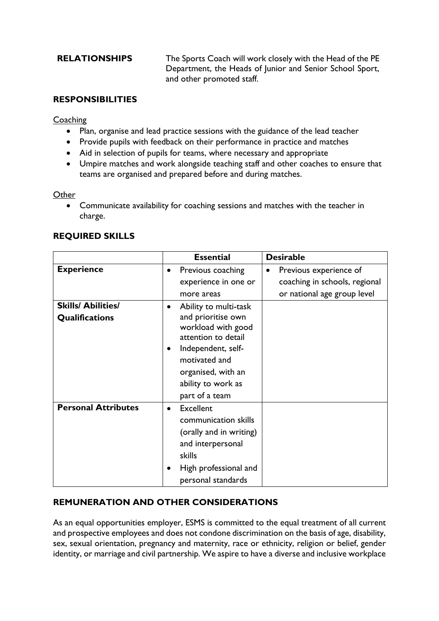**RELATIONSHIPS** The Sports Coach will work closely with the Head of the PE Department, the Heads of Junior and Senior School Sport, and other promoted staff.

## **RESPONSIBILITIES**

### **Coaching**

- Plan, organise and lead practice sessions with the guidance of the lead teacher
- Provide pupils with feedback on their performance in practice and matches
- Aid in selection of pupils for teams, where necessary and appropriate
- Umpire matches and work alongside teaching staff and other coaches to ensure that teams are organised and prepared before and during matches.

### **Other**

• Communicate availability for coaching sessions and matches with the teacher in charge.

|                            | <b>Essential</b>                                                                                         | <b>Desirable</b>                    |
|----------------------------|----------------------------------------------------------------------------------------------------------|-------------------------------------|
| <b>Experience</b>          | Previous coaching<br>$\bullet$                                                                           | Previous experience of<br>$\bullet$ |
|                            | experience in one or                                                                                     | coaching in schools, regional       |
|                            | more areas                                                                                               | or national age group level         |
| <b>Skills/ Abilities/</b>  | Ability to multi-task                                                                                    |                                     |
| Qualifications             | and prioritise own<br>workload with good<br>attention to detail<br>Independent, self-<br>$\bullet$       |                                     |
|                            | motivated and                                                                                            |                                     |
|                            | organised, with an                                                                                       |                                     |
|                            | ability to work as                                                                                       |                                     |
|                            | part of a team                                                                                           |                                     |
| <b>Personal Attributes</b> | Excellent<br>$\bullet$<br>communication skills<br>(orally and in writing)<br>and interpersonal<br>skills |                                     |
|                            | High professional and<br>personal standards                                                              |                                     |

# **REQUIRED SKILLS**

# **REMUNERATION AND OTHER CONSIDERATIONS**

As an equal opportunities employer, ESMS is committed to the equal treatment of all current and prospective employees and does not condone discrimination on the basis of age, disability, sex, sexual orientation, pregnancy and maternity, race or ethnicity, religion or belief, gender identity, or marriage and civil partnership. We aspire to have a diverse and inclusive workplace